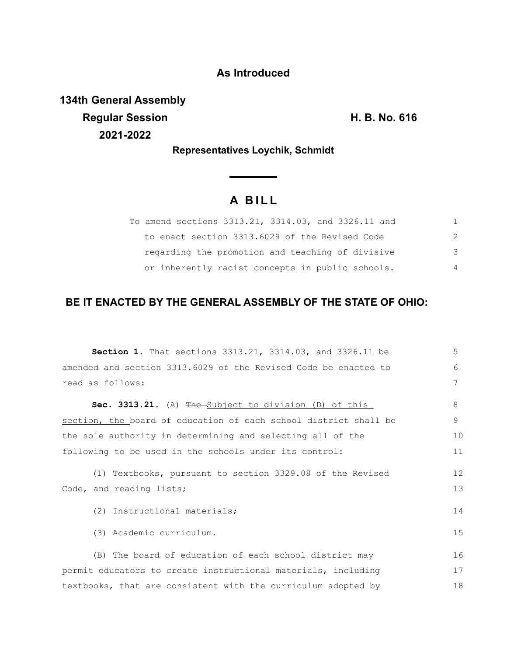### **As Introduced**

**134th General Assembly Regular Session H. B. No. 616 2021-2022**

**Representatives Loychik, Schmidt**

# **A B I L L**

<u> a shekara ta 1991</u>

| To amend sections 3313.21, 3314.03, and 3326.11 and |               |
|-----------------------------------------------------|---------------|
| to enact section 3313.6029 of the Revised Code      | $\mathcal{P}$ |
| regarding the promotion and teaching of divisive    | 3             |
| or inherently racist concepts in public schools.    | 4             |

## **BE IT ENACTED BY THE GENERAL ASSEMBLY OF THE STATE OF OHIO:**

| <b>Section 1.</b> That sections 3313.21, 3314.03, and 3326.11 be                      | 5        |
|---------------------------------------------------------------------------------------|----------|
| amended and section 3313.6029 of the Revised Code be enacted to                       | 6        |
| read as follows:                                                                      | 7        |
| Sec. 3313.21. (A) The Subject to division (D) of this                                 | 8        |
| section, the board of education of each school district shall be                      | 9        |
| the sole authority in determining and selecting all of the                            | 10       |
| following to be used in the schools under its control:                                | 11       |
| (1) Textbooks, pursuant to section 3329.08 of the Revised<br>Code, and reading lists; | 12<br>13 |
| (2) Instructional materials;                                                          | 14       |
| (3) Academic curriculum.                                                              | 15       |
| (B) The board of education of each school district may                                | 16       |
| permit educators to create instructional materials, including                         | 17       |
| textbooks, that are consistent with the curriculum adopted by                         | 18       |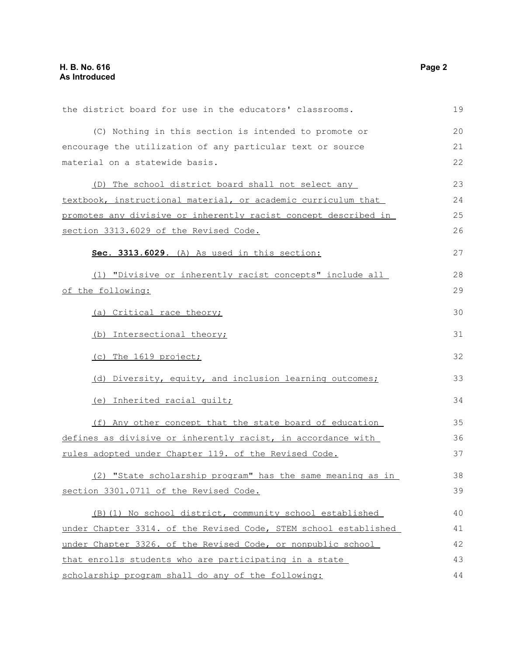| the district board for use in the educators' classrooms.         | 19 |
|------------------------------------------------------------------|----|
| (C) Nothing in this section is intended to promote or            | 20 |
| encourage the utilization of any particular text or source       | 21 |
| material on a statewide basis.                                   | 22 |
| (D) The school district board shall not select any               | 23 |
| textbook, instructional material, or academic curriculum that    | 24 |
| promotes any divisive or inherently racist concept described in  | 25 |
| section 3313.6029 of the Revised Code.                           | 26 |
|                                                                  |    |
| Sec. 3313.6029. (A) As used in this section:                     | 27 |
| (1) "Divisive or inherently racist concepts" include all         | 28 |
| of the following:                                                | 29 |
| (a) Critical race theory;                                        | 30 |
|                                                                  |    |
| (b) Intersectional theory;                                       | 31 |
| (c) The 1619 project;                                            | 32 |
| (d) Diversity, equity, and inclusion learning outcomes;          | 33 |
| (e) Inherited racial guilt;                                      | 34 |
| (f) Any other concept that the state board of education          | 35 |
| defines as divisive or inherently racist, in accordance with     | 36 |
| rules adopted under Chapter 119. of the Revised Code.            | 37 |
| (2) "State scholarship program" has the same meaning as in       | 38 |
| section 3301.0711 of the Revised Code.                           | 39 |
| (B)(1) No school district, community school established          | 40 |
| under Chapter 3314. of the Revised Code, STEM school established | 41 |
| under Chapter 3326. of the Revised Code, or nonpublic school     | 42 |
|                                                                  | 43 |
| that enrolls students who are participating in a state           | 44 |
| scholarship program shall do any of the following:               |    |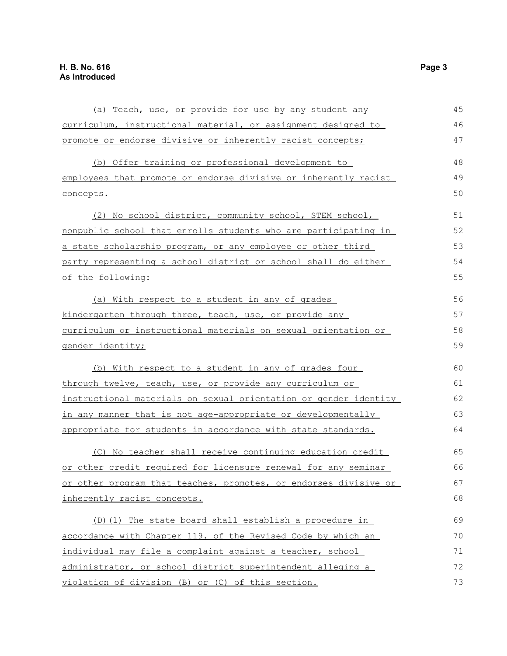| (a) Teach, use, or provide for use by any student any            | 45 |
|------------------------------------------------------------------|----|
| curriculum, instructional material, or assignment designed to    | 46 |
| promote or endorse divisive or inherently racist concepts;       | 47 |
| (b) Offer training or professional development to                | 48 |
| employees that promote or endorse divisive or inherently racist  | 49 |
| concepts.                                                        | 50 |
| (2) No school district, community school, STEM school,           | 51 |
| nonpublic school that enrolls students who are participating in  | 52 |
| a state scholarship program, or any employee or other third      | 53 |
| party representing a school district or school shall do either   | 54 |
| of the following:                                                | 55 |
| (a) With respect to a student in any of grades                   | 56 |
| kindergarten through three, teach, use, or provide any           | 57 |
| curriculum or instructional materials on sexual orientation or   | 58 |
| gender identity;                                                 | 59 |
| (b) With respect to a student in any of grades four              | 60 |
| through twelve, teach, use, or provide any curriculum or         | 61 |
| instructional materials on sexual orientation or gender identity | 62 |
| in any manner that is not age-appropriate or developmentally     | 63 |
| appropriate for students in accordance with state standards.     | 64 |
| (C) No teacher shall receive continuing education credit         | 65 |
| or other credit required for licensure renewal for any seminar   | 66 |
| or other program that teaches, promotes, or endorses divisive or | 67 |
| inherently racist concepts.                                      | 68 |
| (D) (1) The state board shall establish a procedure in           | 69 |
| accordance with Chapter 119. of the Revised Code by which an     | 70 |
| individual may file a complaint against a teacher, school        | 71 |
| administrator, or school district superintendent alleging a      | 72 |
| violation of division (B) or (C) of this section.                | 73 |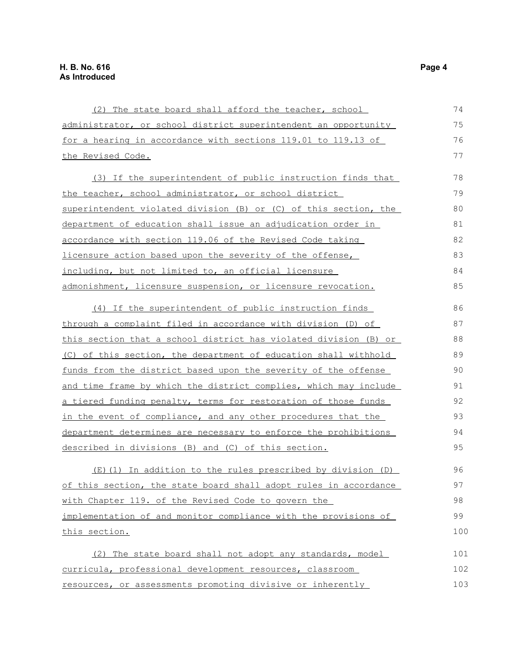| (2) The state board shall afford the teacher, school             | 74  |
|------------------------------------------------------------------|-----|
| administrator, or school district superintendent an opportunity  | 75  |
| for a hearing in accordance with sections 119.01 to 119.13 of    | 76  |
| the Revised Code.                                                | 77  |
| (3) If the superintendent of public instruction finds that       | 78  |
| the teacher, school administrator, or school district            | 79  |
| superintendent violated division (B) or (C) of this section, the | 80  |
| department of education shall issue an adjudication order in     | 81  |
| accordance with section 119.06 of the Revised Code taking        | 82  |
| licensure action based upon the severity of the offense,         | 83  |
| including, but not limited to, an official licensure             | 84  |
|                                                                  | 85  |
| admonishment, licensure suspension, or licensure revocation.     |     |
| (4) If the superintendent of public instruction finds            | 86  |
| through a complaint filed in accordance with division (D) of     | 87  |
| this section that a school district has violated division (B) or | 88  |
| (C) of this section, the department of education shall withhold  | 89  |
| funds from the district based upon the severity of the offense   | 90  |
| and time frame by which the district complies, which may include | 91  |
| a tiered funding penalty, terms for restoration of those funds   | 92  |
| in the event of compliance, and any other procedures that the    | 93  |
| department determines are necessary to enforce the prohibitions  | 94  |
| described in divisions (B) and (C) of this section.              | 95  |
| (E) (1) In addition to the rules prescribed by division (D)      |     |
|                                                                  | 96  |
| of this section, the state board shall adopt rules in accordance | 97  |
| with Chapter 119. of the Revised Code to govern the              | 98  |
| implementation of and monitor compliance with the provisions of  | 99  |
| this section.                                                    | 100 |
| (2) The state board shall not adopt any standards, model         | 101 |
| curricula, professional development resources, classroom         | 102 |
| resources, or assessments promoting divisive or inherently       | 103 |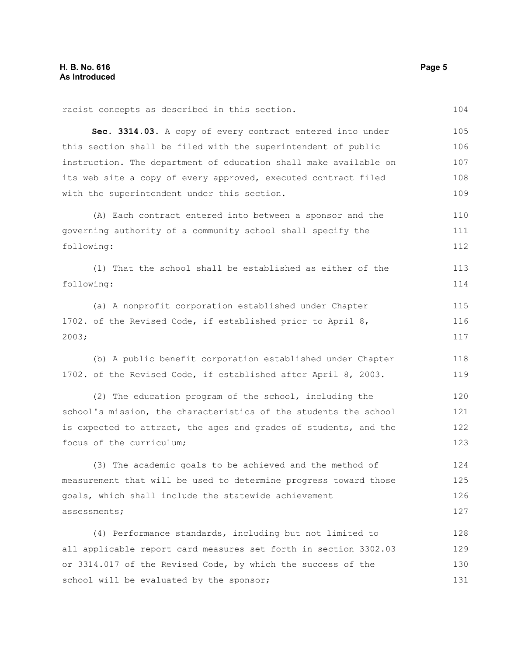| racist concepts as described in this section.                    | 104 |
|------------------------------------------------------------------|-----|
| Sec. 3314.03. A copy of every contract entered into under        | 105 |
| this section shall be filed with the superintendent of public    | 106 |
| instruction. The department of education shall make available on | 107 |
| its web site a copy of every approved, executed contract filed   | 108 |
| with the superintendent under this section.                      | 109 |
| (A) Each contract entered into between a sponsor and the         | 110 |
| governing authority of a community school shall specify the      | 111 |
| following:                                                       | 112 |
| (1) That the school shall be established as either of the        | 113 |
| following:                                                       | 114 |
| (a) A nonprofit corporation established under Chapter            | 115 |
| 1702. of the Revised Code, if established prior to April 8,      | 116 |
| 2003;                                                            | 117 |
| (b) A public benefit corporation established under Chapter       | 118 |
| 1702. of the Revised Code, if established after April 8, 2003.   | 119 |
| (2) The education program of the school, including the           | 120 |
| school's mission, the characteristics of the students the school | 121 |
| is expected to attract, the ages and grades of students, and the | 122 |
| focus of the curriculum;                                         | 123 |
| (3) The academic goals to be achieved and the method of          | 124 |
| measurement that will be used to determine progress toward those | 125 |
| goals, which shall include the statewide achievement             | 126 |
| assessments;                                                     | 127 |
| (4) Performance standards, including but not limited to          | 128 |
| all applicable report card measures set forth in section 3302.03 | 129 |
| or 3314.017 of the Revised Code, by which the success of the     | 130 |
| school will be evaluated by the sponsor;                         | 131 |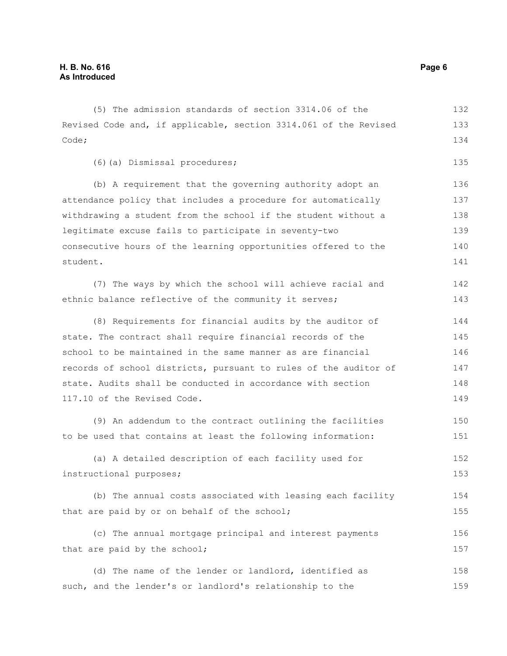(5) The admission standards of section 3314.06 of the Revised Code and, if applicable, section 3314.061 of the Revised Code; (6)(a) Dismissal procedures; (b) A requirement that the governing authority adopt an attendance policy that includes a procedure for automatically withdrawing a student from the school if the student without a legitimate excuse fails to participate in seventy-two consecutive hours of the learning opportunities offered to the student. (7) The ways by which the school will achieve racial and ethnic balance reflective of the community it serves; (8) Requirements for financial audits by the auditor of state. The contract shall require financial records of the school to be maintained in the same manner as are financial records of school districts, pursuant to rules of the auditor of state. Audits shall be conducted in accordance with section 117.10 of the Revised Code. (9) An addendum to the contract outlining the facilities to be used that contains at least the following information: (a) A detailed description of each facility used for instructional purposes; (b) The annual costs associated with leasing each facility that are paid by or on behalf of the school; 132 133 134 135 136 137 138 139 140 141 142 143 144 145 146 147 148 149 150 151 152 153 154 155

(c) The annual mortgage principal and interest payments that are paid by the school; 156 157

(d) The name of the lender or landlord, identified as such, and the lender's or landlord's relationship to the 158 159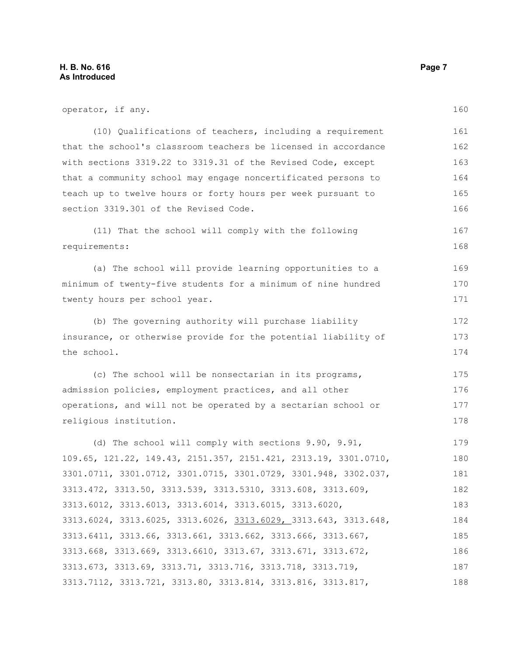operator, if any. (10) Qualifications of teachers, including a requirement that the school's classroom teachers be licensed in accordance with sections 3319.22 to 3319.31 of the Revised Code, except that a community school may engage noncertificated persons to teach up to twelve hours or forty hours per week pursuant to section 3319.301 of the Revised Code. (11) That the school will comply with the following requirements: (a) The school will provide learning opportunities to a minimum of twenty-five students for a minimum of nine hundred twenty hours per school year. (b) The governing authority will purchase liability insurance, or otherwise provide for the potential liability of the school. (c) The school will be nonsectarian in its programs, admission policies, employment practices, and all other operations, and will not be operated by a sectarian school or religious institution. (d) The school will comply with sections 9.90, 9.91, 109.65, 121.22, 149.43, 2151.357, 2151.421, 2313.19, 3301.0710, 3301.0711, 3301.0712, 3301.0715, 3301.0729, 3301.948, 3302.037, 3313.472, 3313.50, 3313.539, 3313.5310, 3313.608, 3313.609, 3313.6012, 3313.6013, 3313.6014, 3313.6015, 3313.6020, 3313.6024, 3313.6025, 3313.6026, 3313.6029, 3313.643, 3313.648, 3313.6411, 3313.66, 3313.661, 3313.662, 3313.666, 3313.667, 3313.668, 3313.669, 3313.6610, 3313.67, 3313.671, 3313.672, 3313.673, 3313.69, 3313.71, 3313.716, 3313.718, 3313.719, 160 161 162 163 164 165 166 167 168 169 170 171 172 173 174 175 176 177 178 179 180 181 182 183 184 185 186 187

3313.7112, 3313.721, 3313.80, 3313.814, 3313.816, 3313.817, 188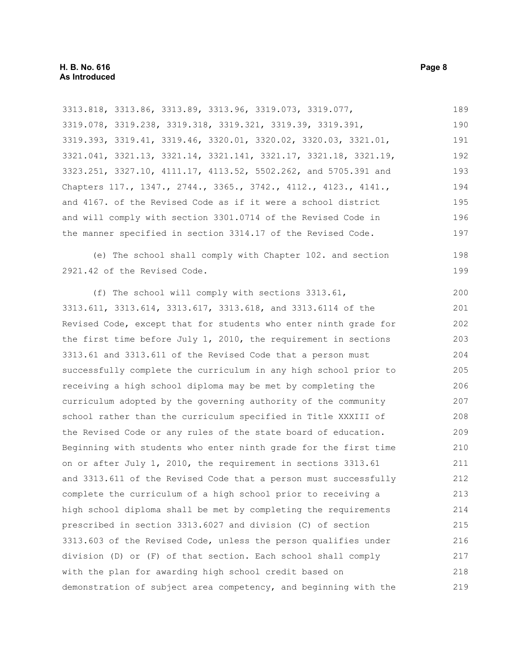3313.818, 3313.86, 3313.89, 3313.96, 3319.073, 3319.077, 3319.078, 3319.238, 3319.318, 3319.321, 3319.39, 3319.391, 3319.393, 3319.41, 3319.46, 3320.01, 3320.02, 3320.03, 3321.01, 3321.041, 3321.13, 3321.14, 3321.141, 3321.17, 3321.18, 3321.19, 3323.251, 3327.10, 4111.17, 4113.52, 5502.262, and 5705.391 and Chapters 117., 1347., 2744., 3365., 3742., 4112., 4123., 4141., and 4167. of the Revised Code as if it were a school district and will comply with section 3301.0714 of the Revised Code in the manner specified in section 3314.17 of the Revised Code. (e) The school shall comply with Chapter 102. and section 2921.42 of the Revised Code. (f) The school will comply with sections 3313.61, 3313.611, 3313.614, 3313.617, 3313.618, and 3313.6114 of the Revised Code, except that for students who enter ninth grade for the first time before July 1, 2010, the requirement in sections 3313.61 and 3313.611 of the Revised Code that a person must successfully complete the curriculum in any high school prior to receiving a high school diploma may be met by completing the curriculum adopted by the governing authority of the community school rather than the curriculum specified in Title XXXIII of the Revised Code or any rules of the state board of education. Beginning with students who enter ninth grade for the first time on or after July 1, 2010, the requirement in sections 3313.61 and 3313.611 of the Revised Code that a person must successfully complete the curriculum of a high school prior to receiving a high school diploma shall be met by completing the requirements prescribed in section 3313.6027 and division (C) of section 3313.603 of the Revised Code, unless the person qualifies under division (D) or (F) of that section. Each school shall comply with the plan for awarding high school credit based on demonstration of subject area competency, and beginning with the 189 190 191 192 193 194 195 196 197 198 199 200 201 202 203 204 205 206 207 208 209 210 211 212 213 214 215 216 217 218 219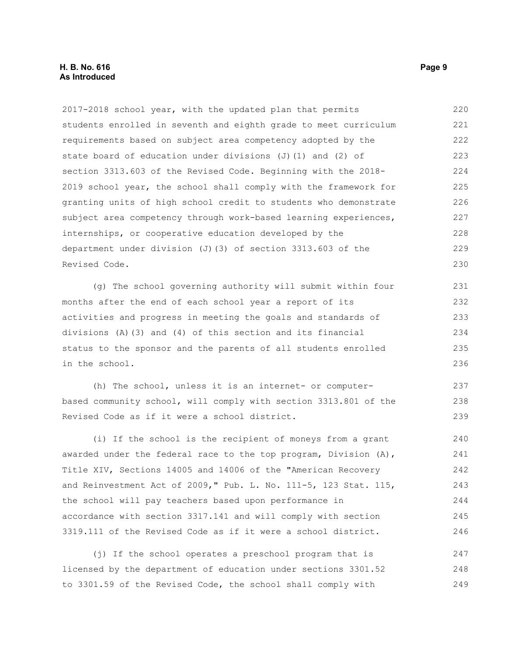### **H. B. No. 616 Page 9 As Introduced**

2017-2018 school year, with the updated plan that permits students enrolled in seventh and eighth grade to meet curriculum requirements based on subject area competency adopted by the state board of education under divisions (J)(1) and (2) of section 3313.603 of the Revised Code. Beginning with the 2018- 2019 school year, the school shall comply with the framework for granting units of high school credit to students who demonstrate subject area competency through work-based learning experiences, internships, or cooperative education developed by the department under division (J)(3) of section 3313.603 of the Revised Code. 220 221 222 223 224 225 226 227 228 229 230

(g) The school governing authority will submit within four months after the end of each school year a report of its activities and progress in meeting the goals and standards of divisions (A)(3) and (4) of this section and its financial status to the sponsor and the parents of all students enrolled in the school. 231 232 233 234 235 236

(h) The school, unless it is an internet- or computerbased community school, will comply with section 3313.801 of the Revised Code as if it were a school district.

(i) If the school is the recipient of moneys from a grant awarded under the federal race to the top program, Division (A), Title XIV, Sections 14005 and 14006 of the "American Recovery and Reinvestment Act of 2009," Pub. L. No. 111-5, 123 Stat. 115, the school will pay teachers based upon performance in accordance with section 3317.141 and will comply with section 3319.111 of the Revised Code as if it were a school district. 240 241 242 243 244 245 246

(j) If the school operates a preschool program that is licensed by the department of education under sections 3301.52 to 3301.59 of the Revised Code, the school shall comply with 247 248 249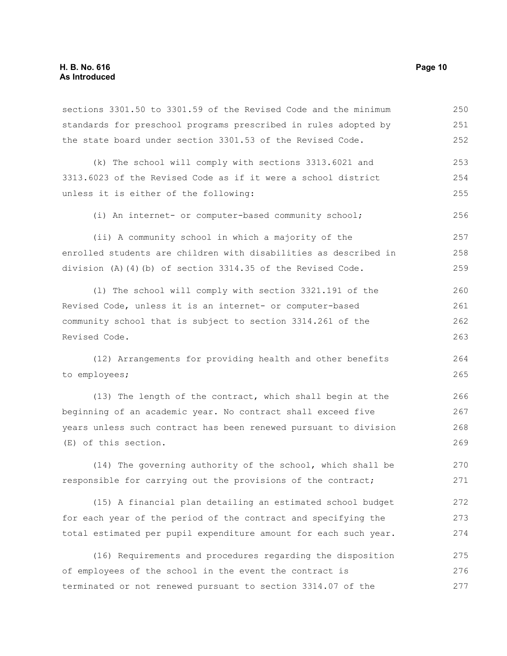sections 3301.50 to 3301.59 of the Revised Code and the minimum standards for preschool programs prescribed in rules adopted by the state board under section 3301.53 of the Revised Code. (k) The school will comply with sections 3313.6021 and 3313.6023 of the Revised Code as if it were a school district unless it is either of the following: (i) An internet- or computer-based community school; (ii) A community school in which a majority of the enrolled students are children with disabilities as described in division (A)(4)(b) of section 3314.35 of the Revised Code. (l) The school will comply with section 3321.191 of the Revised Code, unless it is an internet- or computer-based community school that is subject to section 3314.261 of the Revised Code. (12) Arrangements for providing health and other benefits to employees; (13) The length of the contract, which shall begin at the beginning of an academic year. No contract shall exceed five years unless such contract has been renewed pursuant to division (E) of this section. (14) The governing authority of the school, which shall be responsible for carrying out the provisions of the contract; (15) A financial plan detailing an estimated school budget for each year of the period of the contract and specifying the 250 251 252 253 254 255 256 257 258 259 260 261 262 263 264 265 266 267 268 269 270 271 272 273

(16) Requirements and procedures regarding the disposition of employees of the school in the event the contract is terminated or not renewed pursuant to section 3314.07 of the 275 276 277

total estimated per pupil expenditure amount for each such year.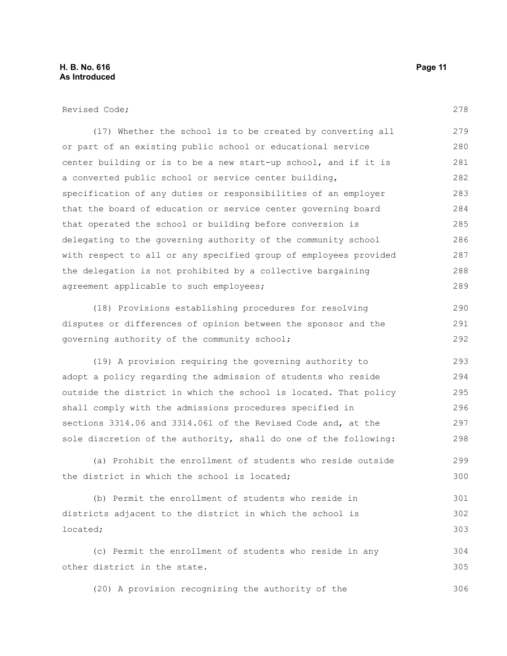(17) Whether the school is to be created by converting all or part of an existing public school or educational service center building or is to be a new start-up school, and if it is a converted public school or service center building, specification of any duties or responsibilities of an employer that the board of education or service center governing board that operated the school or building before conversion is delegating to the governing authority of the community school with respect to all or any specified group of employees provided the delegation is not prohibited by a collective bargaining agreement applicable to such employees; 279 280 281 282 283 284 285 286 287 288 289

(18) Provisions establishing procedures for resolving disputes or differences of opinion between the sponsor and the governing authority of the community school;

(19) A provision requiring the governing authority to adopt a policy regarding the admission of students who reside outside the district in which the school is located. That policy shall comply with the admissions procedures specified in sections 3314.06 and 3314.061 of the Revised Code and, at the sole discretion of the authority, shall do one of the following: 293 294 295 296 297 298

(a) Prohibit the enrollment of students who reside outside the district in which the school is located;

(b) Permit the enrollment of students who reside in districts adjacent to the district in which the school is located; 301 302 303

(c) Permit the enrollment of students who reside in any other district in the state. 304 305

(20) A provision recognizing the authority of the

278

290 291 292

299 300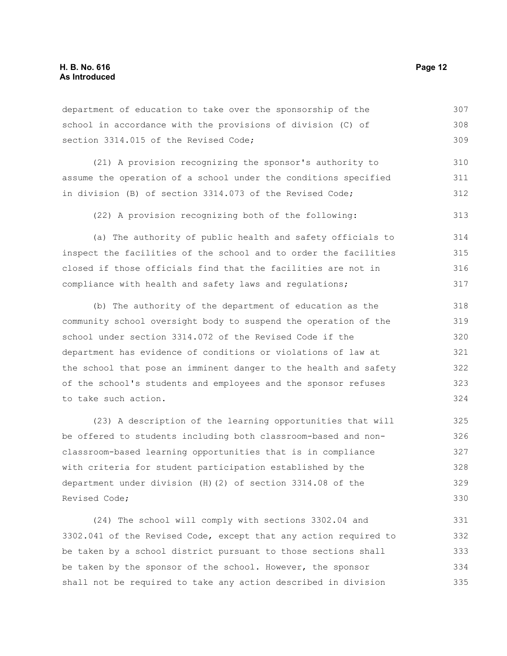department of education to take over the sponsorship of the school in accordance with the provisions of division (C) of section 3314.015 of the Revised Code; 307 308 309

(21) A provision recognizing the sponsor's authority to assume the operation of a school under the conditions specified in division (B) of section 3314.073 of the Revised Code; 310 311 312

(22) A provision recognizing both of the following:

(a) The authority of public health and safety officials to inspect the facilities of the school and to order the facilities closed if those officials find that the facilities are not in compliance with health and safety laws and regulations; 314 315 316 317

(b) The authority of the department of education as the community school oversight body to suspend the operation of the school under section 3314.072 of the Revised Code if the department has evidence of conditions or violations of law at the school that pose an imminent danger to the health and safety of the school's students and employees and the sponsor refuses to take such action. 318 319 320 321 322 323 324

(23) A description of the learning opportunities that will be offered to students including both classroom-based and nonclassroom-based learning opportunities that is in compliance with criteria for student participation established by the department under division (H)(2) of section 3314.08 of the Revised Code; 325 326 327 328 329

(24) The school will comply with sections 3302.04 and 3302.041 of the Revised Code, except that any action required to be taken by a school district pursuant to those sections shall be taken by the sponsor of the school. However, the sponsor shall not be required to take any action described in division 331 332 333 334 335

313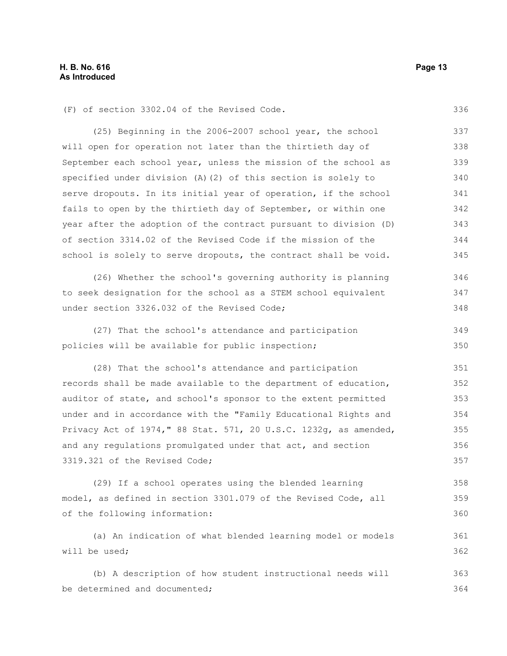336

361 362

(F) of section 3302.04 of the Revised Code.

(25) Beginning in the 2006-2007 school year, the school will open for operation not later than the thirtieth day of September each school year, unless the mission of the school as specified under division (A)(2) of this section is solely to serve dropouts. In its initial year of operation, if the school fails to open by the thirtieth day of September, or within one year after the adoption of the contract pursuant to division (D) of section 3314.02 of the Revised Code if the mission of the school is solely to serve dropouts, the contract shall be void. 337 338 339 340 341 342 343 344 345

(26) Whether the school's governing authority is planning to seek designation for the school as a STEM school equivalent under section 3326.032 of the Revised Code; 346 347 348

(27) That the school's attendance and participation policies will be available for public inspection; 349 350

(28) That the school's attendance and participation records shall be made available to the department of education, auditor of state, and school's sponsor to the extent permitted under and in accordance with the "Family Educational Rights and Privacy Act of 1974," 88 Stat. 571, 20 U.S.C. 1232g, as amended, and any regulations promulgated under that act, and section 3319.321 of the Revised Code; 351 352 353 354 355 356 357

(29) If a school operates using the blended learning model, as defined in section 3301.079 of the Revised Code, all of the following information: 358 359 360

(a) An indication of what blended learning model or models will be used;

(b) A description of how student instructional needs will be determined and documented; 363 364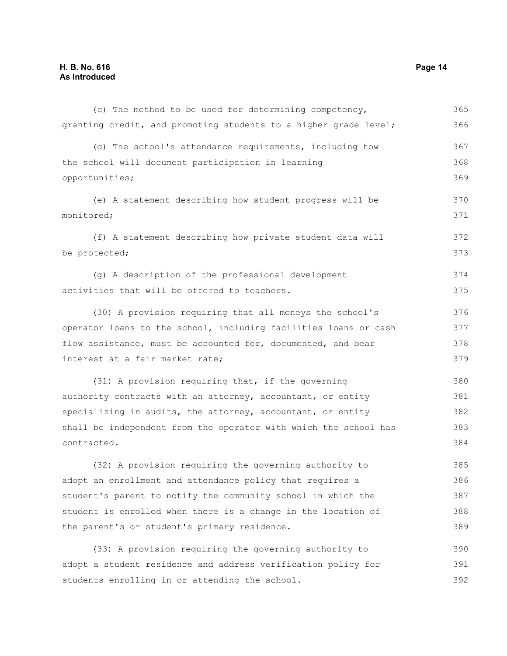| (c) The method to be used for determining competency,            | 365 |
|------------------------------------------------------------------|-----|
| granting credit, and promoting students to a higher grade level; | 366 |
| (d) The school's attendance requirements, including how          | 367 |
| the school will document participation in learning               | 368 |
| opportunities;                                                   | 369 |
| (e) A statement describing how student progress will be          | 370 |
| monitored;                                                       | 371 |
| (f) A statement describing how private student data will         | 372 |
| be protected;                                                    | 373 |
| (q) A description of the professional development                | 374 |
| activities that will be offered to teachers.                     | 375 |
| (30) A provision requiring that all moneys the school's          | 376 |
| operator loans to the school, including facilities loans or cash | 377 |
| flow assistance, must be accounted for, documented, and bear     | 378 |
| interest at a fair market rate;                                  | 379 |
| (31) A provision requiring that, if the governing                | 380 |
| authority contracts with an attorney, accountant, or entity      | 381 |
| specializing in audits, the attorney, accountant, or entity      | 382 |
| shall be independent from the operator with which the school has | 383 |
| contracted.                                                      | 384 |
| (32) A provision requiring the governing authority to            | 385 |
| adopt an enrollment and attendance policy that requires a        | 386 |
| student's parent to notify the community school in which the     | 387 |
| student is enrolled when there is a change in the location of    | 388 |
| the parent's or student's primary residence.                     | 389 |
| (33) A provision requiring the governing authority to            | 390 |
| adopt a student residence and address verification policy for    | 391 |
| students enrolling in or attending the school.                   | 392 |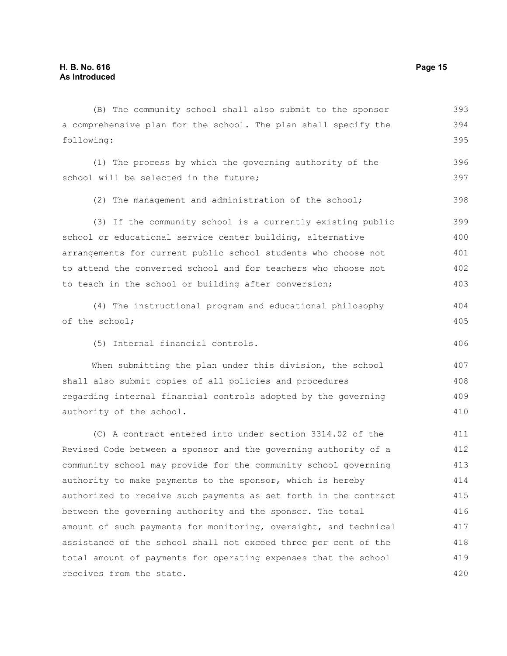a comprehensive plan for the school. The plan shall specify the following: (1) The process by which the governing authority of the school will be selected in the future; (2) The management and administration of the school; (3) If the community school is a currently existing public school or educational service center building, alternative arrangements for current public school students who choose not to attend the converted school and for teachers who choose not to teach in the school or building after conversion; (4) The instructional program and educational philosophy of the school; (5) Internal financial controls. When submitting the plan under this division, the school shall also submit copies of all policies and procedures regarding internal financial controls adopted by the governing authority of the school. (C) A contract entered into under section 3314.02 of the Revised Code between a sponsor and the governing authority of a community school may provide for the community school governing authority to make payments to the sponsor, which is hereby 394 395 396 397 398 399 400 401 402 403 404 405 406 407 408 409 410 411 412 413 414

(B) The community school shall also submit to the sponsor

authorized to receive such payments as set forth in the contract between the governing authority and the sponsor. The total amount of such payments for monitoring, oversight, and technical assistance of the school shall not exceed three per cent of the total amount of payments for operating expenses that the school receives from the state. 415 416 417 418 419 420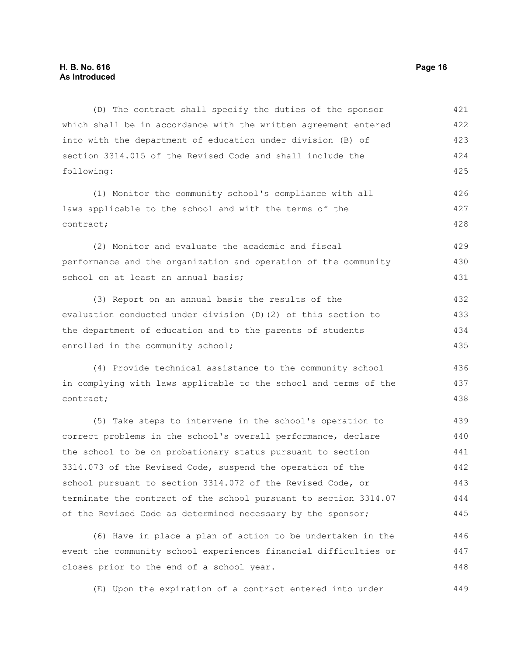(D) The contract shall specify the duties of the sponsor which shall be in accordance with the written agreement entered into with the department of education under division (B) of section 3314.015 of the Revised Code and shall include the following: 421 422 423 424 425

(1) Monitor the community school's compliance with all laws applicable to the school and with the terms of the contract; 426 427 428

(2) Monitor and evaluate the academic and fiscal performance and the organization and operation of the community school on at least an annual basis; 429 430 431

(3) Report on an annual basis the results of the evaluation conducted under division (D)(2) of this section to the department of education and to the parents of students enrolled in the community school; 432 433 434 435

(4) Provide technical assistance to the community school in complying with laws applicable to the school and terms of the contract; 436 437 438

(5) Take steps to intervene in the school's operation to correct problems in the school's overall performance, declare the school to be on probationary status pursuant to section 3314.073 of the Revised Code, suspend the operation of the school pursuant to section 3314.072 of the Revised Code, or terminate the contract of the school pursuant to section 3314.07 of the Revised Code as determined necessary by the sponsor; 439 440 441 442 443 444 445

(6) Have in place a plan of action to be undertaken in the event the community school experiences financial difficulties or closes prior to the end of a school year. 446 447 448

(E) Upon the expiration of a contract entered into under 449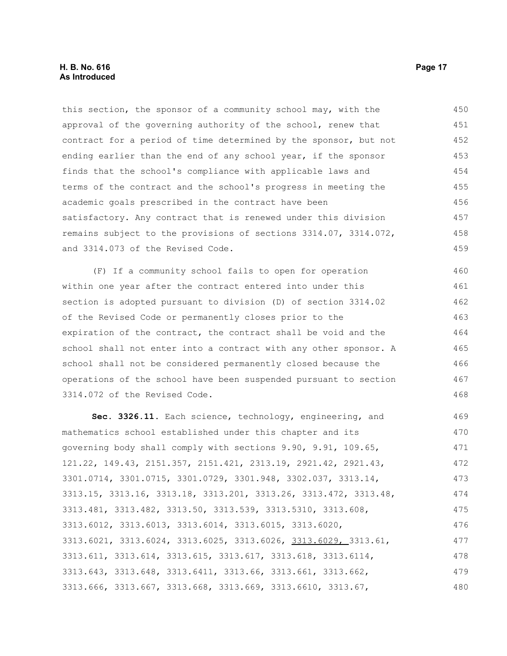### **H. B. No. 616 Page 17 As Introduced**

this section, the sponsor of a community school may, with the approval of the governing authority of the school, renew that contract for a period of time determined by the sponsor, but not ending earlier than the end of any school year, if the sponsor finds that the school's compliance with applicable laws and terms of the contract and the school's progress in meeting the academic goals prescribed in the contract have been satisfactory. Any contract that is renewed under this division remains subject to the provisions of sections 3314.07, 3314.072, and 3314.073 of the Revised Code. 450 451 452 453 454 455 456 457 458 459

(F) If a community school fails to open for operation within one year after the contract entered into under this section is adopted pursuant to division (D) of section 3314.02 of the Revised Code or permanently closes prior to the expiration of the contract, the contract shall be void and the school shall not enter into a contract with any other sponsor. A school shall not be considered permanently closed because the operations of the school have been suspended pursuant to section 3314.072 of the Revised Code. 460 461 462 463 464 465 466 467 468

**Sec. 3326.11.** Each science, technology, engineering, and mathematics school established under this chapter and its governing body shall comply with sections 9.90, 9.91, 109.65, 121.22, 149.43, 2151.357, 2151.421, 2313.19, 2921.42, 2921.43, 3301.0714, 3301.0715, 3301.0729, 3301.948, 3302.037, 3313.14, 3313.15, 3313.16, 3313.18, 3313.201, 3313.26, 3313.472, 3313.48, 3313.481, 3313.482, 3313.50, 3313.539, 3313.5310, 3313.608, 3313.6012, 3313.6013, 3313.6014, 3313.6015, 3313.6020, 3313.6021, 3313.6024, 3313.6025, 3313.6026, 3313.6029, 3313.61, 3313.611, 3313.614, 3313.615, 3313.617, 3313.618, 3313.6114, 3313.643, 3313.648, 3313.6411, 3313.66, 3313.661, 3313.662, 3313.666, 3313.667, 3313.668, 3313.669, 3313.6610, 3313.67, 469 470 471 472 473 474 475 476 477 478 479 480